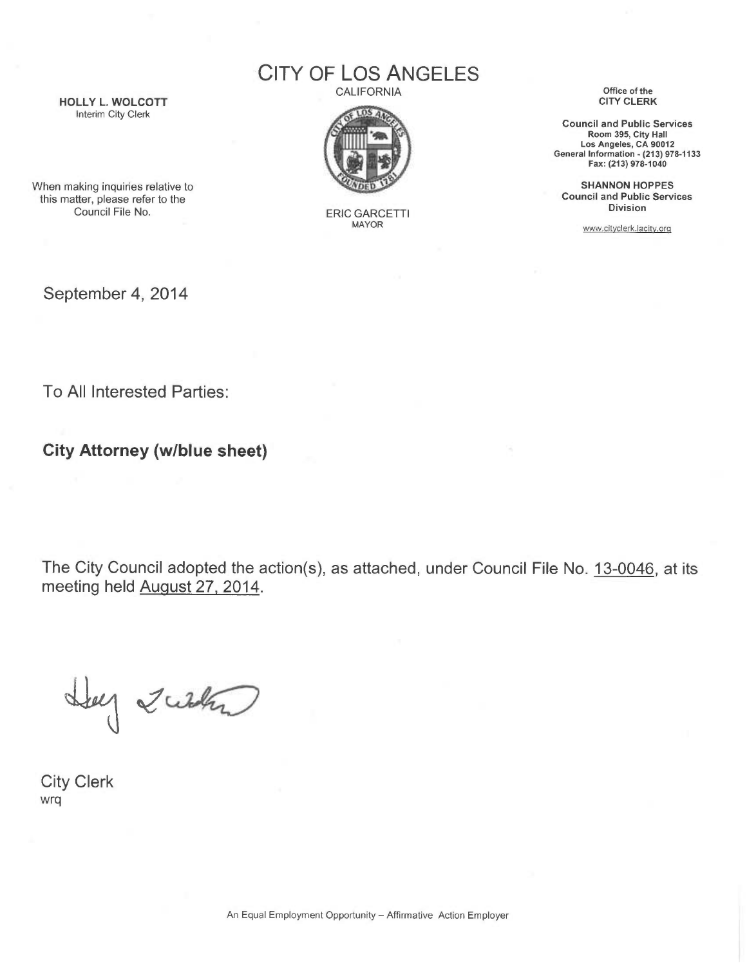CITY OF LOS ANGELES CALIFORNIA

HOLLY L. WOLCOTT Interim City Clerk

 $105<sub>a</sub>$ 

ERIC GARCETTI MAYOR

Office of the CITY CLERK

Council and Public Services Room 395, City Hall Los Angeles, CA 90012 General Information - (213) 978-1133 Fax: (213) 978-1040

SHANNON HOPPES Council and Public Services Division

www.cityclerk.lacity.orq

When making inquiries relative to this matter, please refer to the Council File No.

September 4, 2014

To All Interested Parties:

City Attorney (w/blue sheet)

The City Council adopted the action(s), as attached, under Council File No. 13-0046, at its meeting held August 27, 2014.

Hay Zurk

City Clerk wrq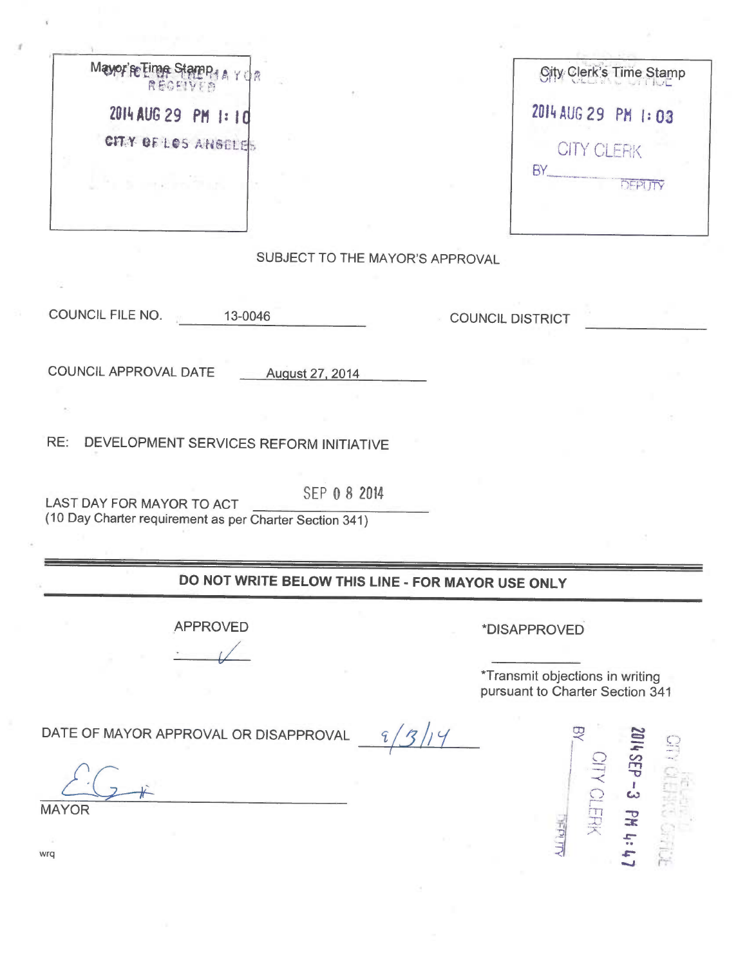|  | 2014 AUG 29 PM 1:10 |  |  |
|--|---------------------|--|--|
|  | CITY OF LOS ANGELES |  |  |
|  |                     |  |  |

| 2014 AUG 29 PM 1:03 |                |
|---------------------|----------------|
| <b>CITY CLERK</b>   |                |
| RY                  | <b>DEPLITY</b> |

## SUBJECT TO THE MAYOR'S APPROVAL

COUNCIL FILE NO. 13-0046

COUNCIL DISTRICT

COUNCIL APPROVAL DATE August 27, <sup>2014</sup>

RE: DEVELOPMENT SERVICES REFORM INITIATIVE

LAST DAY FOR MAYOR TO ACT SEP 0 8 2014 (10 Day Charter requirement as per Charter Section 341)

## DO NOT WRITE BELOW THIS LINE - FOR MAYOR USE ONLY

APPROVED

\*DISAPPROVED

\*Transmit objections in writing pursuant to Charter Section 341

DATE OF MAYOR APPROVAL OR DISAPPROVAL  $\frac{9}{2}/\frac{3}{4}$ 



wrq

MAYOR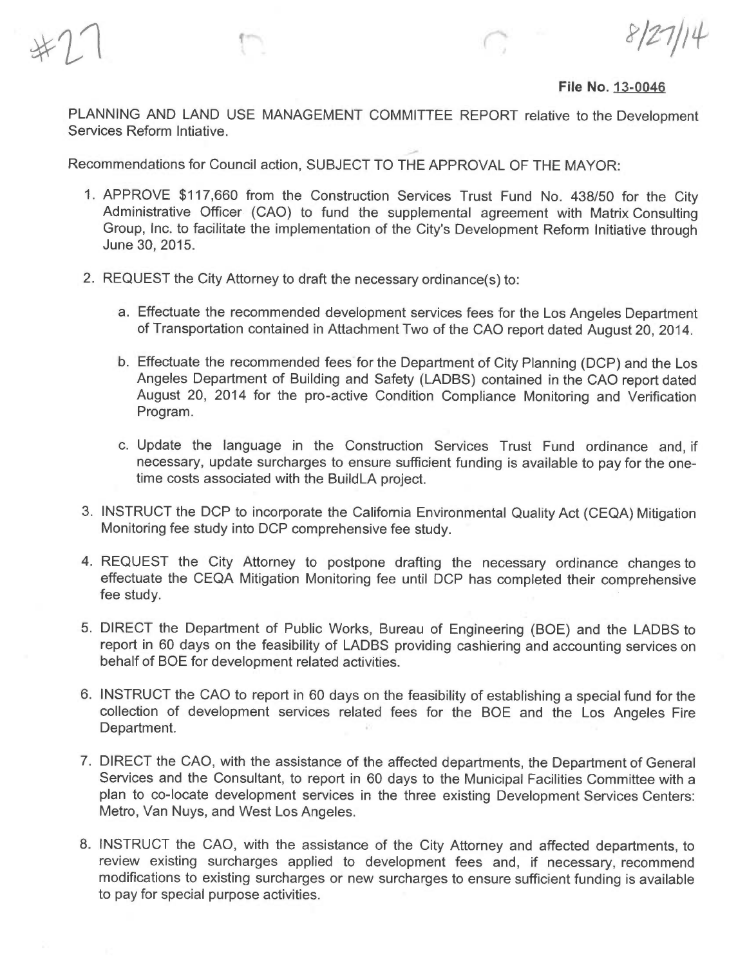File No. 13-0046

PLANNING AND LAND USE MANAGEMENT COMMITTEE REPORT relative to the Development Services Reform lntiative.

Recommendations for Council action, SUBJECT TO THE APPROVAL OF THE MAYOR:

- 1. APPROVE \$117,660 from the Construction Services Trust Fund No. 438/50 for the City Administrative Officer (CAO) to fund the supplemental agreement with Matrix Consulting Group, Inc. to facilitate the implementation of the City's Development Reform Initiative through June 30, 2015.
- 2. REQUEST the City Attorney to draft the necessary ordinance(s) to:
	- a. Effectuate the recommended development services fees for the Los Angeles Department of Transportation contained in Attachment Two of the CAO report dated August 20, 2014.
	- b. Effectuate the recommended fees for the Department of City Planning (DCP) and the Los Angeles Department of Building and Safety (LADBS) contained in the CAO report dated August 20, 2014 for the pro-active Condition Compliance Monitoring and Verification Program.
	- c. Update the language in the Construction Services Trust Fund ordinance and, if necessary, update surcharges to ensure sufficient funding is available to pay for the onetime costs associated with the BuildLA project.
- 3. INSTRUCT the DCP to incorporate the California Environmental Quality Act (CEQA) Mitigation Monitoring fee study into DCP comprehensive fee study.
- 4. REQUEST the City Attorney to postpone drafting the necessary ordinance changes to effectuate the CEQA Mitigation Monitoring fee until DCP has completed their comprehensive fee study.
- 5. DIRECT the Department of Public Works, Bureau of Engineering (BOE) and the LADBS to report in 60 days on the feasibility of LADBS providing cashiering and accounting services on behalf of BOE for development related activities.
- 6. INSTRUCT the CAO to report in 60 days on the feasibility of establishing a special fund for the collection of development services related fees for the BOE and the Los Angeles Fire Department.
- 7. DIRECT the CAO, with the assistance of the affected departments, the Department of General Services and the Consultant, to report in 60 days to the Municipal Facilities Committee with <sup>a</sup> plan to co-locate development services in the three existing Development Services Centers: Metro, Van Nuys, and West Los Angeles.
- 8. INSTRUCT the CAO, with the assistance of the City Attorney and affected departments, to review existing surcharges applied to development fees and, if necessary, recommend modifications to existing surcharges or new surcharges to ensure sufficient funding is available to pay for special purpose activities.